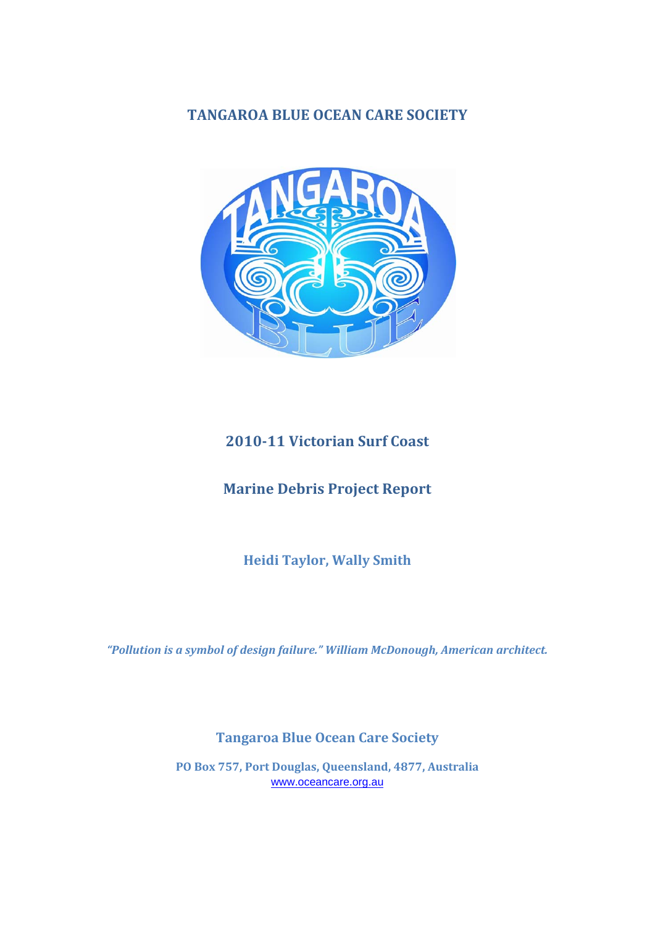## **TANGAROA BLUE OCEAN CARE SOCIETY**



# **2010‐11 Victorian Surf Coast**

## **Marine Debris Project Report**

**Heidi Taylor, Wally Smith**

*"Pollution is a symbol of design failure." William McDonough, American architect.*

## **Tangaroa Blue Ocean Care Society**

**PO Box 757, Port Douglas, Queensland, 4877, Australia** www.oceancare.org.au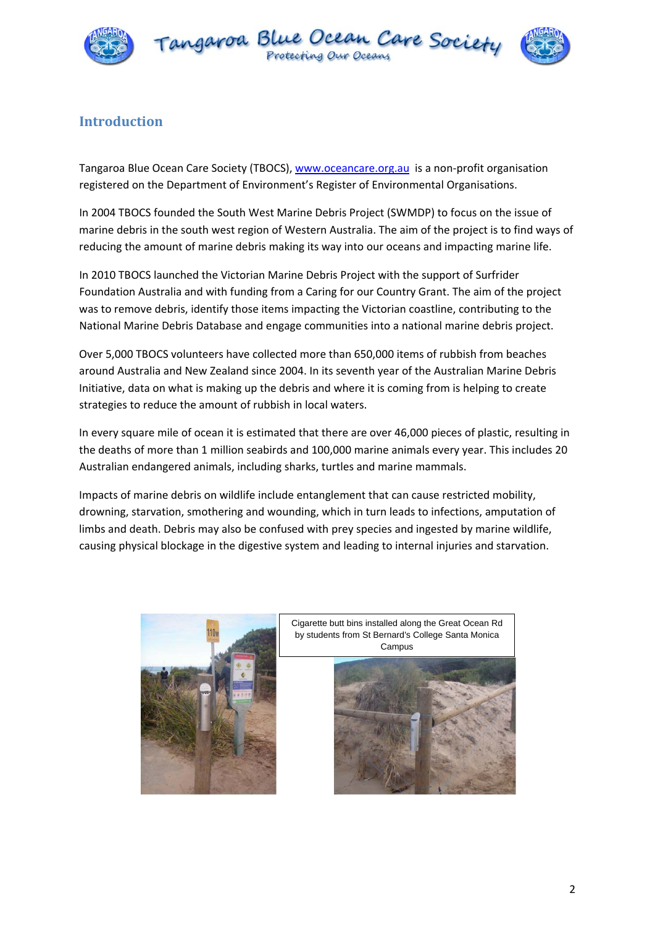



### **Introduction**

Tangaroa Blue Ocean Care Society (TBOCS), www.oceancare.org.au is a non-profit organisation registered on the Department of Environment's Register of Environmental Organisations.

In 2004 TBOCS founded the South West Marine Debris Project (SWMDP) to focus on the issue of marine debris in the south west region of Western Australia. The aim of the project is to find ways of reducing the amount of marine debris making its way into our oceans and impacting marine life.

In 2010 TBOCS launched the Victorian Marine Debris Project with the support of Surfrider Foundation Australia and with funding from a Caring for our Country Grant. The aim of the project was to remove debris, identify those items impacting the Victorian coastline, contributing to the National Marine Debris Database and engage communities into a national marine debris project.

Over 5,000 TBOCS volunteers have collected more than 650,000 items of rubbish from beaches around Australia and New Zealand since 2004. In its seventh year of the Australian Marine Debris Initiative, data on what is making up the debris and where it is coming from is helping to create strategies to reduce the amount of rubbish in local waters.

In every square mile of ocean it is estimated that there are over 46,000 pieces of plastic, resulting in the deaths of more than 1 million seabirds and 100,000 marine animals every year. This includes 20 Australian endangered animals, including sharks, turtles and marine mammals.

Impacts of marine debris on wildlife include entanglement that can cause restricted mobility, drowning, starvation, smothering and wounding, which in turn leads to infections, amputation of limbs and death. Debris may also be confused with prey species and ingested by marine wildlife, causing physical blockage in the digestive system and leading to internal injuries and starvation.





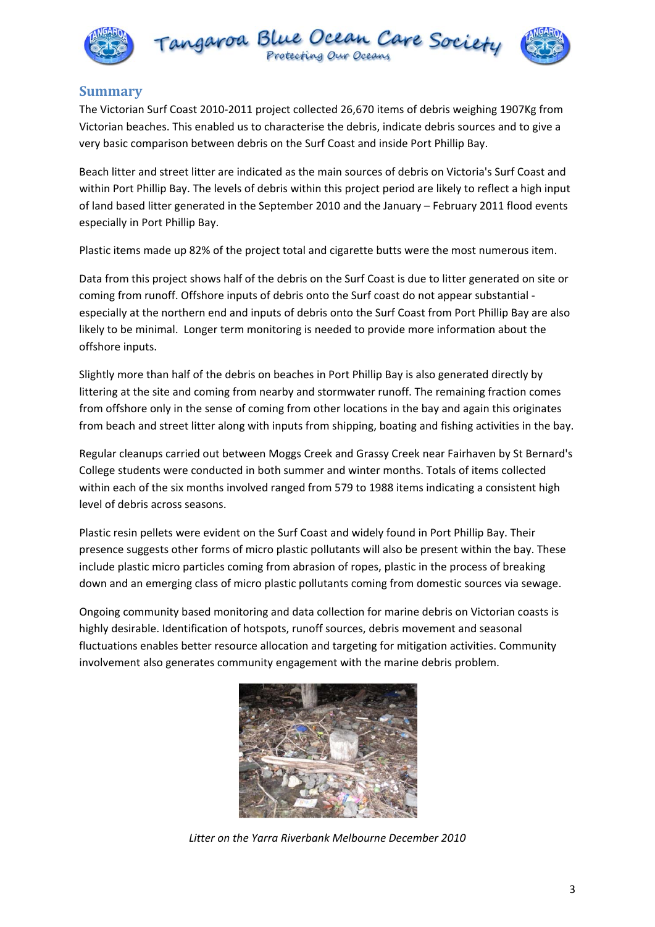



### **Summary**

The Victorian Surf Coast 2010‐2011 project collected 26,670 items of debris weighing 1907Kg from Victorian beaches. This enabled us to characterise the debris, indicate debris sources and to give a very basic comparison between debris on the Surf Coast and inside Port Phillip Bay.

Beach litter and street litter are indicated as the main sources of debris on Victoria's Surf Coast and within Port Phillip Bay. The levels of debris within this project period are likely to reflect a high input of land based litter generated in the September 2010 and the January – February 2011 flood events especially in Port Phillip Bay.

Plastic items made up 82% of the project total and cigarette butts were the most numerous item.

Data from this project shows half of the debris on the Surf Coast is due to litter generated on site or coming from runoff. Offshore inputs of debris onto the Surf coast do not appear substantial ‐ especially at the northern end and inputs of debris onto the Surf Coast from Port Phillip Bay are also likely to be minimal. Longer term monitoring is needed to provide more information about the offshore inputs.

Slightly more than half of the debris on beaches in Port Phillip Bay is also generated directly by littering at the site and coming from nearby and stormwater runoff. The remaining fraction comes from offshore only in the sense of coming from other locations in the bay and again this originates from beach and street litter along with inputs from shipping, boating and fishing activities in the bay.

Regular cleanups carried out between Moggs Creek and Grassy Creek near Fairhaven by St Bernard's College students were conducted in both summer and winter months. Totals of items collected within each of the six months involved ranged from 579 to 1988 items indicating a consistent high level of debris across seasons.

Plastic resin pellets were evident on the Surf Coast and widely found in Port Phillip Bay. Their presence suggests other forms of micro plastic pollutants will also be present within the bay. These include plastic micro particles coming from abrasion of ropes, plastic in the process of breaking down and an emerging class of micro plastic pollutants coming from domestic sources via sewage.

Ongoing community based monitoring and data collection for marine debris on Victorian coasts is highly desirable. Identification of hotspots, runoff sources, debris movement and seasonal fluctuations enables better resource allocation and targeting for mitigation activities. Community involvement also generates community engagement with the marine debris problem.



*Litter on the Yarra Riverbank Melbourne December 2010*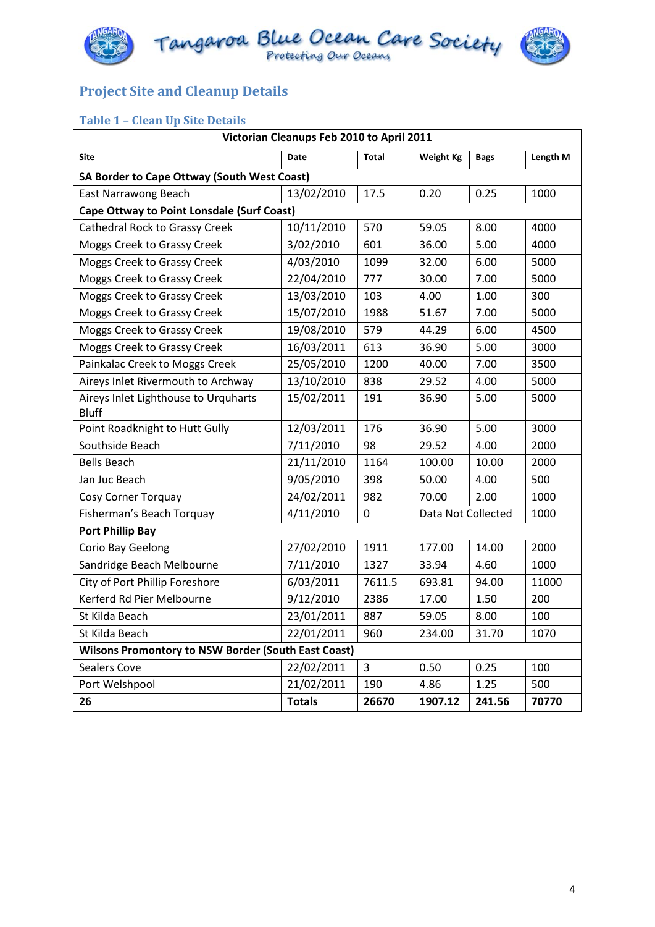



# **Project Site and Cleanup Details**

### **Table 1 – Clean Up Site Details**

| Victorian Cleanups Feb 2010 to April 2011                  |               |                |                            |             |          |  |  |
|------------------------------------------------------------|---------------|----------------|----------------------------|-------------|----------|--|--|
| <b>Site</b>                                                | Date          | <b>Total</b>   | <b>Weight Kg</b>           | <b>Bags</b> | Length M |  |  |
| SA Border to Cape Ottway (South West Coast)                |               |                |                            |             |          |  |  |
| East Narrawong Beach                                       | 13/02/2010    | 17.5           | 0.20                       | 0.25        | 1000     |  |  |
| <b>Cape Ottway to Point Lonsdale (Surf Coast)</b>          |               |                |                            |             |          |  |  |
| Cathedral Rock to Grassy Creek                             | 10/11/2010    | 570            | 59.05                      | 8.00        | 4000     |  |  |
| Moggs Creek to Grassy Creek                                | 3/02/2010     | 601            | 36.00                      | 5.00        | 4000     |  |  |
| Moggs Creek to Grassy Creek                                | 4/03/2010     | 1099           | 32.00                      | 6.00        | 5000     |  |  |
| Moggs Creek to Grassy Creek                                | 22/04/2010    | 777            | 30.00                      | 7.00        | 5000     |  |  |
| Moggs Creek to Grassy Creek                                | 13/03/2010    | 103            | 4.00                       | 1.00        | 300      |  |  |
| Moggs Creek to Grassy Creek                                | 15/07/2010    | 1988           | 51.67                      | 7.00        | 5000     |  |  |
| Moggs Creek to Grassy Creek                                | 19/08/2010    | 579            | 44.29                      | 6.00        | 4500     |  |  |
| Moggs Creek to Grassy Creek                                | 16/03/2011    | 613            | 36.90                      | 5.00        | 3000     |  |  |
| Painkalac Creek to Moggs Creek                             | 25/05/2010    | 1200           | 40.00                      | 7.00        | 3500     |  |  |
| Aireys Inlet Rivermouth to Archway                         | 13/10/2010    | 838            | 29.52                      | 4.00        | 5000     |  |  |
| Aireys Inlet Lighthouse to Urquharts<br><b>Bluff</b>       | 15/02/2011    | 191            | 36.90                      | 5.00        | 5000     |  |  |
| Point Roadknight to Hutt Gully                             | 12/03/2011    | 176            | 36.90                      | 5.00        | 3000     |  |  |
| Southside Beach                                            | 7/11/2010     | 98             | 29.52                      | 4.00        | 2000     |  |  |
| <b>Bells Beach</b>                                         | 21/11/2010    | 1164           | 100.00                     | 10.00       | 2000     |  |  |
| Jan Juc Beach                                              | 9/05/2010     | 398            | 50.00                      | 4.00        | 500      |  |  |
| Cosy Corner Torquay                                        | 24/02/2011    | 982            | 70.00                      | 2.00        | 1000     |  |  |
| Fisherman's Beach Torquay                                  | 4/11/2010     | $\pmb{0}$      | Data Not Collected<br>1000 |             |          |  |  |
| Port Phillip Bay                                           |               |                |                            |             |          |  |  |
| Corio Bay Geelong                                          | 27/02/2010    | 1911           | 177.00                     | 14.00       | 2000     |  |  |
| Sandridge Beach Melbourne                                  | 7/11/2010     | 1327           | 33.94                      | 4.60        | 1000     |  |  |
| City of Port Phillip Foreshore                             | 6/03/2011     | 7611.5         | 693.81                     | 94.00       | 11000    |  |  |
| Kerferd Rd Pier Melbourne                                  | 9/12/2010     | 2386           | 17.00                      | 1.50        | 200      |  |  |
| St Kilda Beach                                             | 23/01/2011    | 887            | 59.05                      | 8.00        | 100      |  |  |
| St Kilda Beach                                             | 22/01/2011    | 960            | 234.00                     | 31.70       | 1070     |  |  |
| <b>Wilsons Promontory to NSW Border (South East Coast)</b> |               |                |                            |             |          |  |  |
| <b>Sealers Cove</b>                                        | 22/02/2011    | $\overline{3}$ | 0.50                       | 0.25        | 100      |  |  |
| Port Welshpool                                             | 21/02/2011    | 190            | 4.86                       | 1.25        | 500      |  |  |
| 26                                                         | <b>Totals</b> | 26670          | 1907.12                    | 241.56      | 70770    |  |  |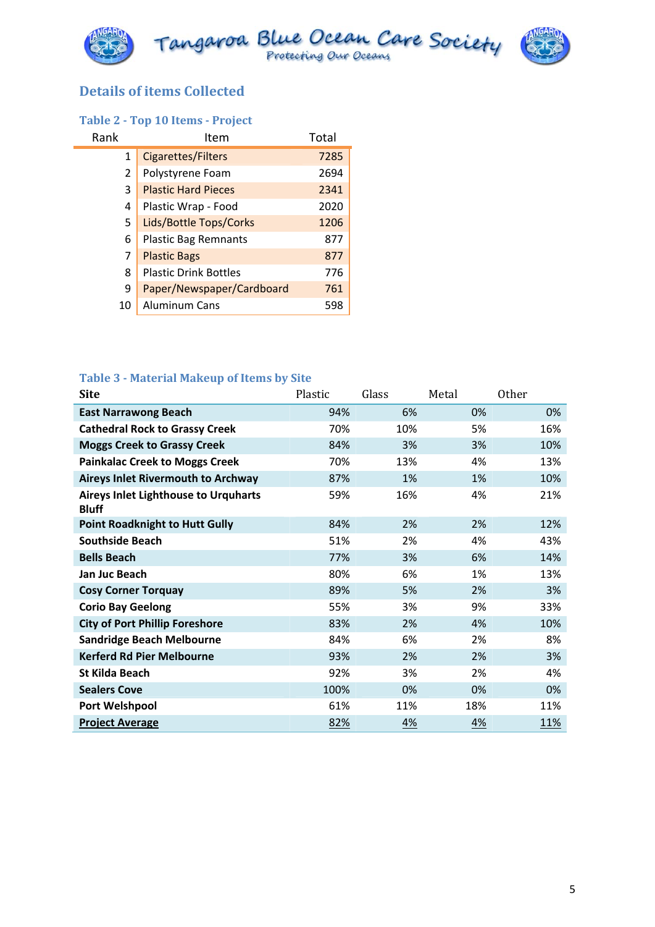

## **Details of items Collected**

### **Table 2 ‐ Top 10 Items ‐ Project**

| Rank | Item                         | Total |
|------|------------------------------|-------|
| 1    | Cigarettes/Filters           | 7285  |
| 2    | Polystyrene Foam             | 2694  |
| 3    | <b>Plastic Hard Pieces</b>   | 2341  |
| 4    | Plastic Wrap - Food          | 2020  |
| 5    | Lids/Bottle Tops/Corks       | 1206  |
| 6    | <b>Plastic Bag Remnants</b>  | 877   |
| 7    | <b>Plastic Bags</b>          | 877   |
| 8    | <b>Plastic Drink Bottles</b> | 776   |
| 9    | Paper/Newspaper/Cardboard    | 761   |
| 10   | Aluminum Cans                | 598   |

#### **Table 3 ‐ Material Makeup of Items by Site**

| <b>Site</b>                                                 | Plastic | Glass | Metal | Other |
|-------------------------------------------------------------|---------|-------|-------|-------|
| <b>East Narrawong Beach</b>                                 | 94%     | 6%    | 0%    | 0%    |
| <b>Cathedral Rock to Grassy Creek</b>                       | 70%     | 10%   | 5%    | 16%   |
| <b>Moggs Creek to Grassy Creek</b>                          | 84%     | 3%    | 3%    | 10%   |
| <b>Painkalac Creek to Moggs Creek</b>                       | 70%     | 13%   | 4%    | 13%   |
| <b>Aireys Inlet Rivermouth to Archway</b>                   | 87%     | 1%    | 1%    | 10%   |
| <b>Aireys Inlet Lighthouse to Urquharts</b><br><b>Bluff</b> | 59%     | 16%   | 4%    | 21%   |
| <b>Point Roadknight to Hutt Gully</b>                       | 84%     | 2%    | 2%    | 12%   |
| <b>Southside Beach</b>                                      | 51%     | 2%    | 4%    | 43%   |
| <b>Bells Beach</b>                                          | 77%     | 3%    | 6%    | 14%   |
| Jan Juc Beach                                               | 80%     | 6%    | 1%    | 13%   |
| <b>Cosy Corner Torquay</b>                                  | 89%     | 5%    | 2%    | 3%    |
| <b>Corio Bay Geelong</b>                                    | 55%     | 3%    | 9%    | 33%   |
| <b>City of Port Phillip Foreshore</b>                       | 83%     | 2%    | 4%    | 10%   |
| <b>Sandridge Beach Melbourne</b>                            | 84%     | 6%    | 2%    | 8%    |
| <b>Kerferd Rd Pier Melbourne</b>                            | 93%     | 2%    | 2%    | 3%    |
| <b>St Kilda Beach</b>                                       | 92%     | 3%    | 2%    | 4%    |
| <b>Sealers Cove</b>                                         | 100%    | 0%    | 0%    | 0%    |
| <b>Port Welshpool</b>                                       | 61%     | 11%   | 18%   | 11%   |
| <b>Project Average</b>                                      | 82%     | 4%    | 4%    | 11%   |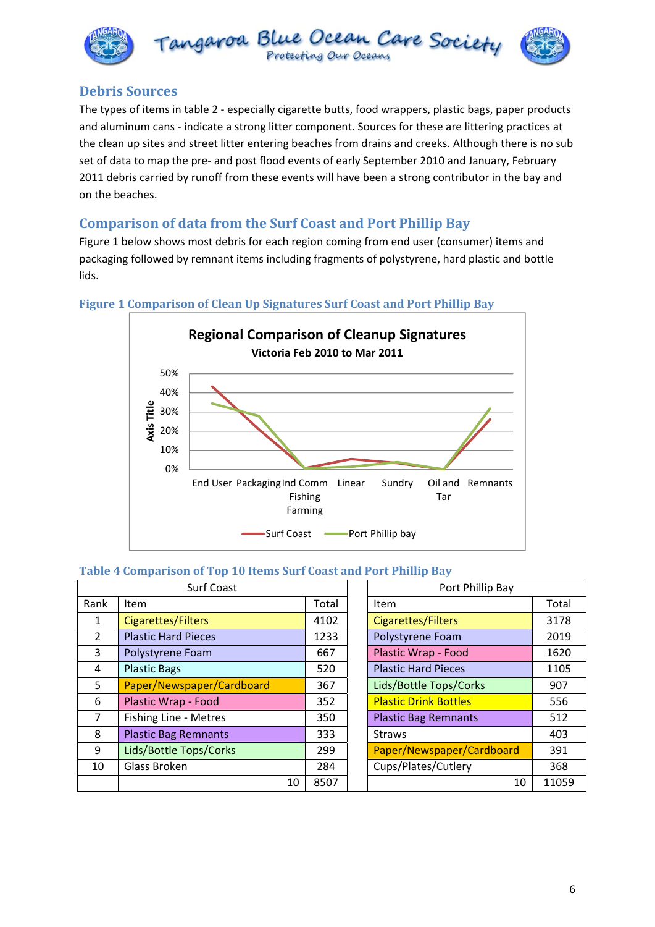



### **Debris Sources**

The types of items in table 2 ‐ especially cigarette butts, food wrappers, plastic bags, paper products and aluminum cans - indicate a strong litter component. Sources for these are littering practices at the clean up sites and street litter entering beaches from drains and creeks. Although there is no sub set of data to map the pre- and post flood events of early September 2010 and January, February 2011 debris carried by runoff from these events will have been a strong contributor in the bay and on the beaches.

## **Comparison of data from the Surf Coast and Port Phillip Bay**

Figure 1 below shows most debris for each region coming from end user (consumer) items and packaging followed by remnant items including fragments of polystyrene, hard plastic and bottle lids.



#### **Figure 1 Comparison of Clean Up Signatures Surf Coast and Port Phillip Bay**

#### **Table 4 Comparison of Top 10 Items Surf Coast and Port Phillip Bay**

| <b>Surf Coast</b> |                             |       | Port Phillip Bay             |       |  |
|-------------------|-----------------------------|-------|------------------------------|-------|--|
| Rank              | Item                        | Total | Item                         | Total |  |
| 1                 | <b>Cigarettes/Filters</b>   | 4102  | <b>Cigarettes/Filters</b>    | 3178  |  |
| 2                 | <b>Plastic Hard Pieces</b>  | 1233  | Polystyrene Foam             | 2019  |  |
| 3                 | Polystyrene Foam            | 667   | Plastic Wrap - Food          | 1620  |  |
| 4                 | <b>Plastic Bags</b>         | 520   | <b>Plastic Hard Pieces</b>   | 1105  |  |
| 5.                | Paper/Newspaper/Cardboard   | 367   | Lids/Bottle Tops/Corks       | 907   |  |
| 6                 | Plastic Wrap - Food         | 352   | <b>Plastic Drink Bottles</b> | 556   |  |
| $\overline{7}$    | Fishing Line - Metres       | 350   | <b>Plastic Bag Remnants</b>  | 512   |  |
| 8                 | <b>Plastic Bag Remnants</b> | 333   | <b>Straws</b>                | 403   |  |
| 9                 | Lids/Bottle Tops/Corks      | 299   | Paper/Newspaper/Cardboard    | 391   |  |
| 10                | Glass Broken                | 284   | Cups/Plates/Cutlery          | 368   |  |
|                   | 10                          | 8507  | 10                           | 1105  |  |

|    |       | Port Phillip Bay             |       |  |  |
|----|-------|------------------------------|-------|--|--|
|    | Total | Item                         | Total |  |  |
|    | 4102  | <b>Cigarettes/Filters</b>    | 3178  |  |  |
|    | 1233  | Polystyrene Foam             | 2019  |  |  |
|    | 667   | Plastic Wrap - Food          | 1620  |  |  |
|    | 520   | <b>Plastic Hard Pieces</b>   | 1105  |  |  |
|    | 367   | Lids/Bottle Tops/Corks       | 907   |  |  |
|    | 352   | <b>Plastic Drink Bottles</b> | 556   |  |  |
|    | 350   | <b>Plastic Bag Remnants</b>  | 512   |  |  |
|    | 333   | <b>Straws</b>                | 403   |  |  |
|    | 299   | Paper/Newspaper/Cardboard    | 391   |  |  |
|    | 284   | Cups/Plates/Cutlery          | 368   |  |  |
| 10 | 8507  | 10                           | 11059 |  |  |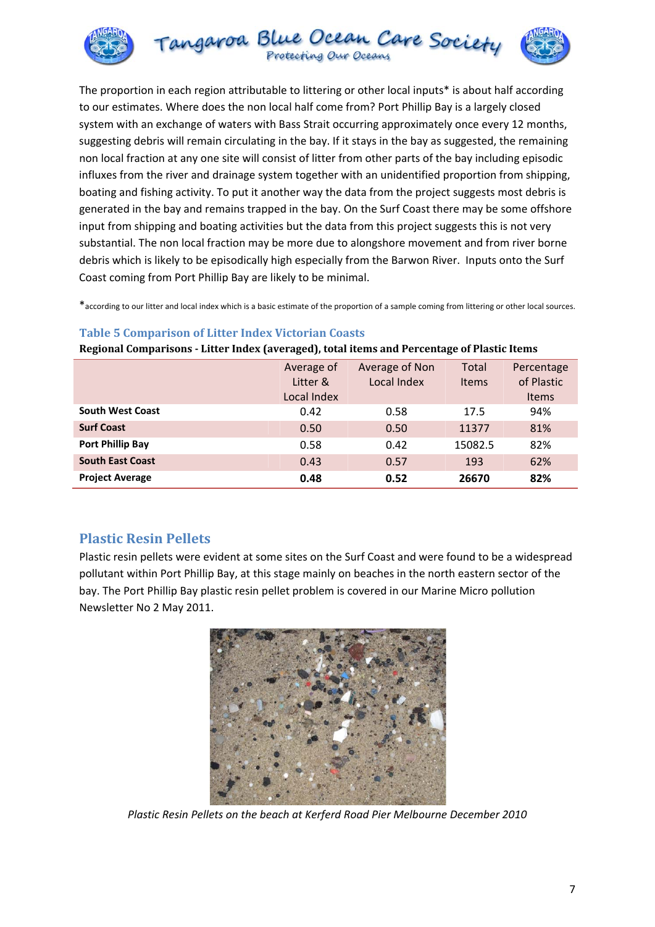

The proportion in each region attributable to littering or other local inputs\* is about half according to our estimates. Where does the non local half come from? Port Phillip Bay is a largely closed system with an exchange of waters with Bass Strait occurring approximately once every 12 months, suggesting debris will remain circulating in the bay. If it stays in the bay as suggested, the remaining non local fraction at any one site will consist of litter from other parts of the bay including episodic influxes from the river and drainage system together with an unidentified proportion from shipping, boating and fishing activity. To put it another way the data from the project suggests most debris is generated in the bay and remains trapped in the bay. On the Surf Coast there may be some offshore input from shipping and boating activities but the data from this project suggests this is not very substantial. The non local fraction may be more due to alongshore movement and from river borne debris which is likely to be episodically high especially from the Barwon River. Inputs onto the Surf Coast coming from Port Phillip Bay are likely to be minimal.

\*according to our litter and local index which is a basic estimate of the proportion of a sample coming from littering or other local sources.

#### **Table 5 Comparison of Litter Index Victorian Coasts**

**Regional Comparisons ‐ Litter Index (averaged), total items and Percentage of Plastic Items**

|                         | Average of<br>Litter &<br>Local Index | Average of Non<br>Local Index | Total<br><b>Items</b> | Percentage<br>of Plastic<br><b>Items</b> |
|-------------------------|---------------------------------------|-------------------------------|-----------------------|------------------------------------------|
| <b>South West Coast</b> | 0.42                                  | 0.58                          | 17.5                  | 94%                                      |
| <b>Surf Coast</b>       | 0.50                                  | 0.50                          | 11377                 | 81%                                      |
| Port Phillip Bay        | 0.58                                  | 0.42                          | 15082.5               | 82%                                      |
| <b>South East Coast</b> | 0.43                                  | 0.57                          | 193                   | 62%                                      |
| <b>Project Average</b>  | 0.48                                  | 0.52                          | 26670                 | 82%                                      |

### **Plastic Resin Pellets**

Plastic resin pellets were evident at some sites on the Surf Coast and were found to be a widespread pollutant within Port Phillip Bay, at this stage mainly on beaches in the north eastern sector of the bay. The Port Phillip Bay plastic resin pellet problem is covered in our Marine Micro pollution Newsletter No 2 May 2011.



*Plastic Resin Pellets on the beach at Kerferd Road Pier Melbourne December 2010*